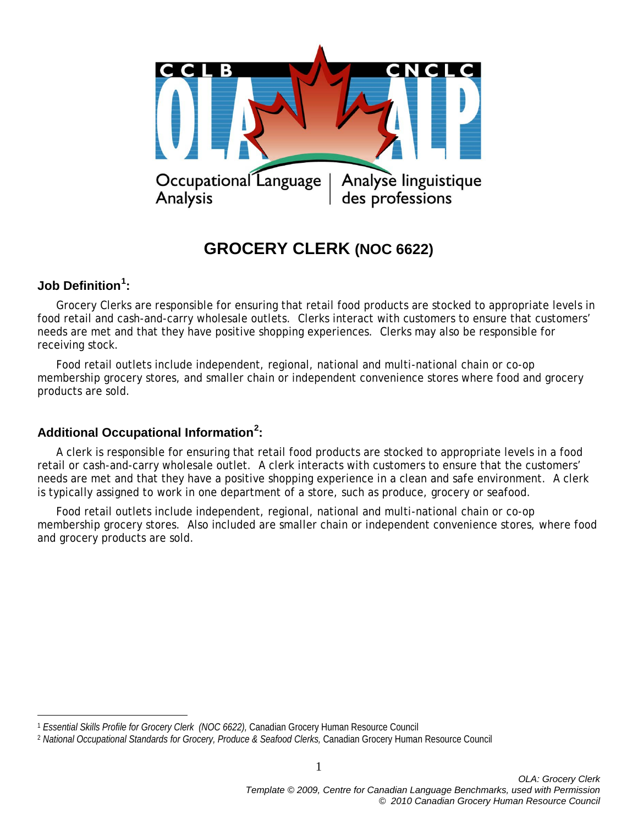

# **GROCERY CLERK (NOC 6622)**

## **Job Definition[1](#page-0-0) :**

 $\overline{a}$ 

Grocery Clerks are responsible for ensuring that retail food products are stocked to appropriate levels in food retail and cash-and-carry wholesale outlets. Clerks interact with customers to ensure that customers' needs are met and that they have positive shopping experiences. Clerks may also be responsible for receiving stock.

Food retail outlets include independent, regional, national and multi-national chain or co-op membership grocery stores, and smaller chain or independent convenience stores where food and grocery products are sold.

## **Additional Occupational Information[2](#page-0-1) :**

A clerk is responsible for ensuring that retail food products are stocked to appropriate levels in a food retail or cash-and-carry wholesale outlet. A clerk interacts with customers to ensure that the customers' needs are met and that they have a positive shopping experience in a clean and safe environment. A clerk is typically assigned to work in one department of a store, such as produce, grocery or seafood.

Food retail outlets include independent, regional, national and multi-national chain or co-op membership grocery stores. Also included are smaller chain or independent convenience stores, where food and grocery products are sold.

1

<span id="page-0-0"></span><sup>1</sup> *Essential Skills Profile for Grocery Clerk (NOC 6622),* Canadian Grocery Human Resource Council

<span id="page-0-1"></span><sup>&</sup>lt;sup>2</sup> National Occupational Standards for Grocery, Produce & Seafood Clerks, Canadian Grocery Human Resource Council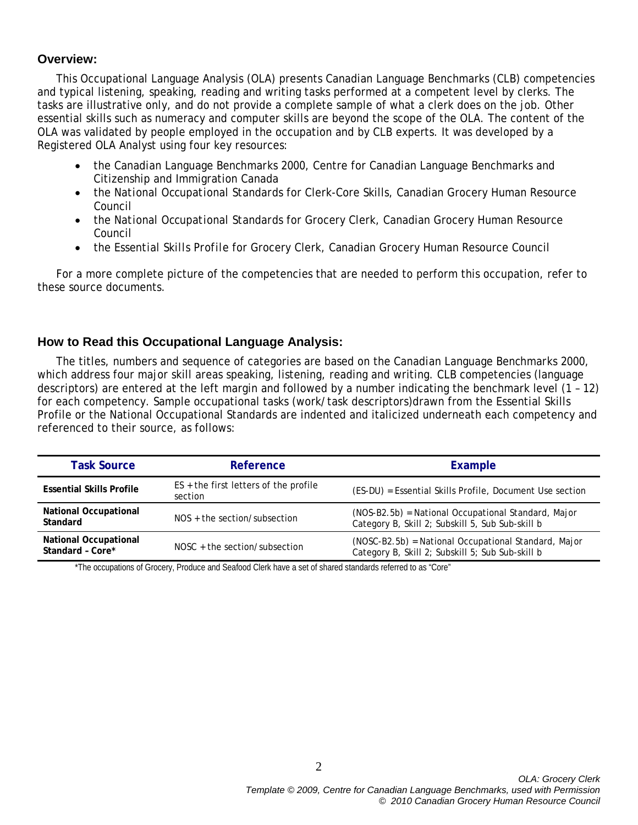## **Overview:**

This Occupational Language Analysis (OLA) presents Canadian Language Benchmarks (CLB) competencies and typical listening, speaking, reading and writing tasks performed at a competent level by clerks. The tasks are illustrative only, and do not provide a complete sample of what a clerk does on the job. Other essential skills such as numeracy and computer skills are beyond the scope of the OLA. The content of the OLA was validated by people employed in the occupation and by CLB experts. It was developed by a Registered OLA Analyst using four key resources:

- the *Canadian Language Benchmarks 2000*, Centre for Canadian Language Benchmarks and Citizenship and Immigration Canada
- the *National Occupational Standards* for Clerk-Core Skills, Canadian Grocery Human Resource Council
- the *National Occupational Standards* for Grocery Clerk, Canadian Grocery Human Resource Council
- the *Essential Skills Profile* for Grocery Clerk, Canadian Grocery Human Resource Council

For a more complete picture of the competencies that are needed to perform this occupation, refer to these source documents.

## **How to Read this Occupational Language Analysis:**

The titles, numbers and sequence of categories are based on the *Canadian Language Benchmarks 2000*, which address four major skill areas speaking, listening, reading and writing. CLB competencies (language descriptors) are entered at the left margin and followed by a number indicating the benchmark level (1 – 12) for each competency. Sample occupational tasks (work/task descriptors)drawn from the Essential Skills Profile or the National Occupational Standards are indented and italicized underneath each competency and referenced to their source, as follows:

| <b>Task Source</b>                               | Reference                                          | Example                                                                                                  |
|--------------------------------------------------|----------------------------------------------------|----------------------------------------------------------------------------------------------------------|
| <b>Essential Skills Profile</b>                  | $ES +$ the first letters of the profile<br>section | (ES-DU) = Essential Skills Profile, Document Use section                                                 |
| <b>National Occupational</b><br>Standard         | $NOS +$ the section/subsection                     | (NOS-B2.5b) = National Occupational Standard, Major<br>Category B, Skill 2; Subskill 5, Sub Sub-skill b  |
| <b>National Occupational</b><br>Standard - Core* | $NOSC + the section/subsection$                    | (NOSC-B2.5b) = National Occupational Standard, Major<br>Category B, Skill 2; Subskill 5; Sub Sub-skill b |

\*The occupations of Grocery, Produce and Seafood Clerk have a set of shared standards referred to as "Core"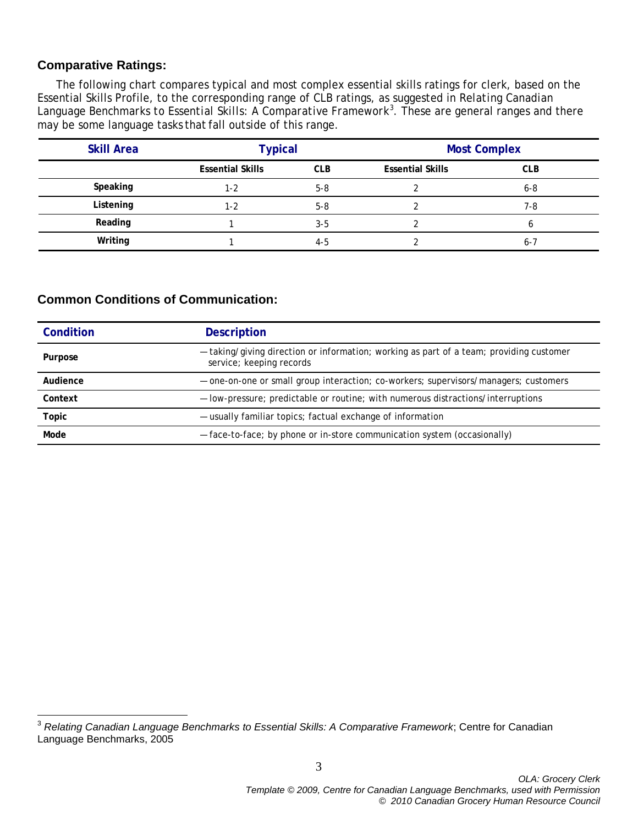## **Comparative Ratings:**

The following chart compares typical and most complex essential skills ratings for clerk, based on the Essential Skills Profile, to the corresponding range of CLB ratings, as suggested in *Relating Canadian Language Benchmarks to Essential Skills: A Comparative Framework[3](#page-2-0)* . These are general ranges and there may be some language tasks that fall outside of this range.

| <b>Skill Area</b> | <b>Typical</b>          |            | <b>Most Complex</b>     |            |
|-------------------|-------------------------|------------|-------------------------|------------|
|                   | <b>Essential Skills</b> | <b>CLB</b> | <b>Essential Skills</b> | <b>CLB</b> |
| Speaking          | 1-2                     | $5 - 8$    |                         | $6 - 8$    |
| Listening         | 1-2                     | $5 - 8$    |                         | 7-8        |
| Reading           |                         | $3 - 5$    |                         | b          |
| Writing           |                         | $4-5$      |                         | $6 - 7$    |

## **Common Conditions of Communication:**

| Condition | <b>Description</b>                                                                                                  |
|-----------|---------------------------------------------------------------------------------------------------------------------|
| Purpose   | - taking/giving direction or information; working as part of a team; providing customer<br>service; keeping records |
| Audience  | - one-on-one or small group interaction; co-workers; supervisors/managers; customers                                |
| Context   | - low-pressure; predictable or routine; with numerous distractions/interruptions                                    |
| Topic     | - usually familiar topics; factual exchange of information                                                          |
| Mode      | - face-to-face; by phone or in-store communication system (occasionally)                                            |

<span id="page-2-0"></span><sup>3</sup> *Relating Canadian Language Benchmarks to Essential Skills: A Comparative Framework*; Centre for Canadian Language Benchmarks, 2005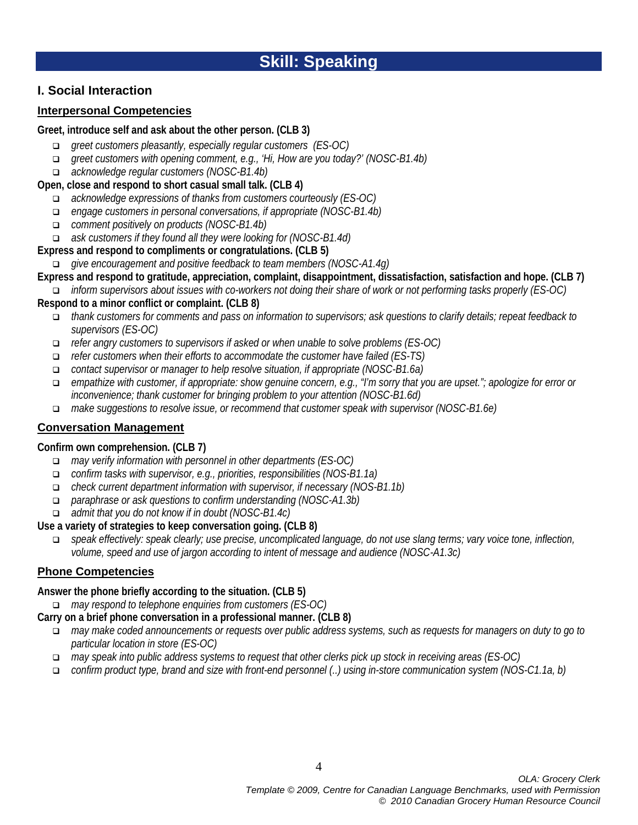## **I. Social Interaction**

## **Interpersonal Competencies**

#### **Greet, introduce self and ask about the other person. (CLB 3)**

- *greet customers pleasantly, especially regular customers (ES-OC)*
- *greet customers with opening comment, e.g., 'Hi, How are you today?' (NOSC-B1.4b)*
- *acknowledge regular customers (NOSC-B1.4b)*

## **Open, close and respond to short casual small talk. (CLB 4)**

- *acknowledge expressions of thanks from customers courteously (ES-OC)*
- *engage customers in personal conversations, if appropriate (NOSC-B1.4b)*
- *comment positively on products (NOSC-B1.4b)*
- *ask customers if they found all they were looking for (NOSC-B1.4d)*

## **Express and respond to compliments or congratulations. (CLB 5)**

- *give encouragement and positive feedback to team members (NOSC-A1.4g)*
- **Express and respond to gratitude, appreciation, complaint, disappointment, dissatisfaction, satisfaction and hope. (CLB 7)** *inform supervisors about issues with co-workers not doing their share of work or not performing tasks properly (ES-OC)*

#### **Respond to a minor conflict or complaint. (CLB 8)**

- *thank customers for comments and pass on information to supervisors; ask questions to clarify details; repeat feedback to supervisors (ES-OC)*
- *refer angry customers to supervisors if asked or when unable to solve problems (ES-OC)*
- *refer customers when their efforts to accommodate the customer have failed (ES-TS)*
- *contact supervisor or manager to help resolve situation, if appropriate (NOSC-B1.6a)*
- *empathize with customer, if appropriate: show genuine concern, e.g., "I'm sorry that you are upset."; apologize for error or inconvenience; thank customer for bringing problem to your attention (NOSC-B1.6d)*
- *make suggestions to resolve issue, or recommend that customer speak with supervisor (NOSC-B1.6e)*

## **Conversation Management**

## **Confirm own comprehension. (CLB 7)**

- *may verify information with personnel in other departments (ES-OC)*
- *confirm tasks with supervisor, e.g., priorities, responsibilities (NOS-B1.1a)*
- *check current department information with supervisor, if necessary (NOS-B1.1b)*
- *paraphrase or ask questions to confirm understanding (NOSC-A1.3b)*
- *admit that you do not know if in doubt (NOSC-B1.4c)*

## **Use a variety of strategies to keep conversation going. (CLB 8)**

 *speak effectively: speak clearly; use precise, uncomplicated language, do not use slang terms; vary voice tone, inflection, volume, speed and use of jargon according to intent of message and audience (NOSC-A1.3c)*

## **Phone Competencies**

## **Answer the phone briefly according to the situation. (CLB 5)**

*may respond to telephone enquiries from customers (ES-OC)*

## **Carry on a brief phone conversation in a professional manner. (CLB 8)**

- *may make coded announcements or requests over public address systems, such as requests for managers on duty to go to particular location in store (ES-OC)*
- *may speak into public address systems to request that other clerks pick up stock in receiving areas (ES-OC)*
- *confirm product type, brand and size with front-end personnel (..) using in-store communication system (NOS-C1.1a, b)*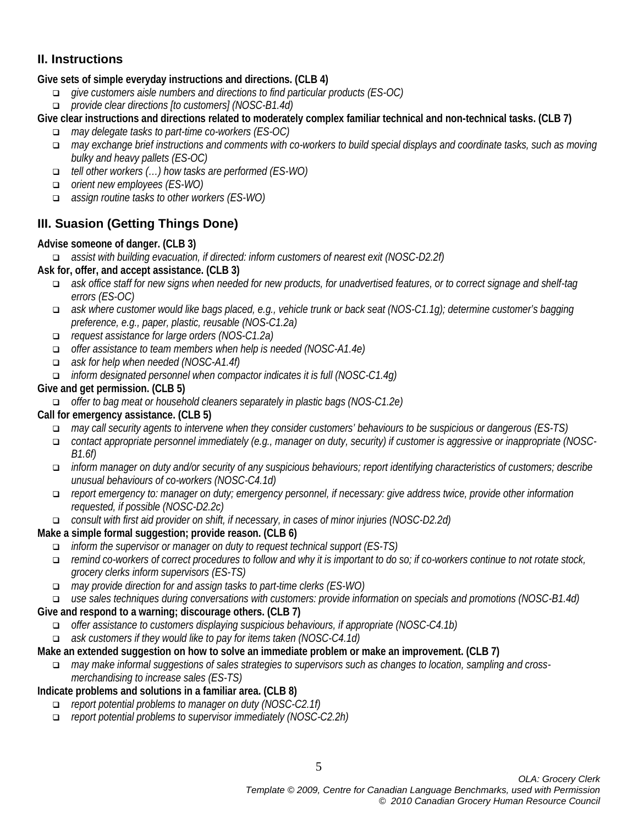## **II. Instructions**

## **Give sets of simple everyday instructions and directions. (CLB 4)**

- *give customers aisle numbers and directions to find particular products (ES-OC)*
- *provide clear directions [to customers] (NOSC-B1.4d)*
- **Give clear instructions and directions related to moderately complex familiar technical and non-technical tasks. (CLB 7)**
	- *may delegate tasks to part-time co-workers (ES-OC)*
	- *may exchange brief instructions and comments with co-workers to build special displays and coordinate tasks, such as moving bulky and heavy pallets (ES-OC)*
	- *tell other workers (…) how tasks are performed (ES-WO)*
	- *orient new employees (ES-WO)*
	- *assign routine tasks to other workers (ES-WO)*

## **III. Suasion (Getting Things Done)**

## **Advise someone of danger. (CLB 3)**

*assist with building evacuation, if directed: inform customers of nearest exit (NOSC-D2.2f)*

- **Ask for, offer, and accept assistance. (CLB 3)**
	- *ask office staff for new signs when needed for new products, for unadvertised features, or to correct signage and shelf-tag errors (ES-OC)*
	- *ask where customer would like bags placed, e.g., vehicle trunk or back seat (NOS-C1.1g); determine customer's bagging preference, e.g., paper, plastic, reusable (NOS-C1.2a)*
	- *request assistance for large orders (NOS-C1.2a)*
	- *offer assistance to team members when help is needed (NOSC-A1.4e)*
	- *ask for help when needed (NOSC-A1.4f)*
	- *inform designated personnel when compactor indicates it is full (NOSC-C1.4g)*

## **Give and get permission. (CLB 5)**

*offer to bag meat or household cleaners separately in plastic bags (NOS-C1.2e)*

## **Call for emergency assistance. (CLB 5)**

- *may call security agents to intervene when they consider customers' behaviours to be suspicious or dangerous (ES-TS)*
- *contact appropriate personnel immediately (e.g., manager on duty, security) if customer is aggressive or inappropriate (NOSC-B1.6f)*
- *inform manager on duty and/or security of any suspicious behaviours; report identifying characteristics of customers; describe unusual behaviours of co-workers (NOSC-C4.1d)*
- *report emergency to: manager on duty; emergency personnel, if necessary: give address twice, provide other information requested, if possible (NOSC-D2.2c)*
- *consult with first aid provider on shift, if necessary, in cases of minor injuries (NOSC-D2.2d)*

## **Make a simple formal suggestion; provide reason. (CLB 6)**

- *inform the supervisor or manager on duty to request technical support (ES-TS)*
- *remind co-workers of correct procedures to follow and why it is important to do so; if co-workers continue to not rotate stock, grocery clerks inform supervisors (ES-TS)*
- *may provide direction for and assign tasks to part-time clerks (ES-WO)*

## *use sales techniques during conversations with customers: provide information on specials and promotions (NOSC-B1.4d)*

## **Give and respond to a warning; discourage others. (CLB 7)**

- *offer assistance to customers displaying suspicious behaviours, if appropriate (NOSC-C4.1b)*
- *ask customers if they would like to pay for items taken (NOSC-C4.1d)*

## **Make an extended suggestion on how to solve an immediate problem or make an improvement. (CLB 7)**

 *may make informal suggestions of sales strategies to supervisors such as changes to location, sampling and crossmerchandising to increase sales (ES-TS)*

## **Indicate problems and solutions in a familiar area. (CLB 8)**

- *report potential problems to manager on duty (NOSC-C2.1f)*
- *report potential problems to supervisor immediately (NOSC-C2.2h)*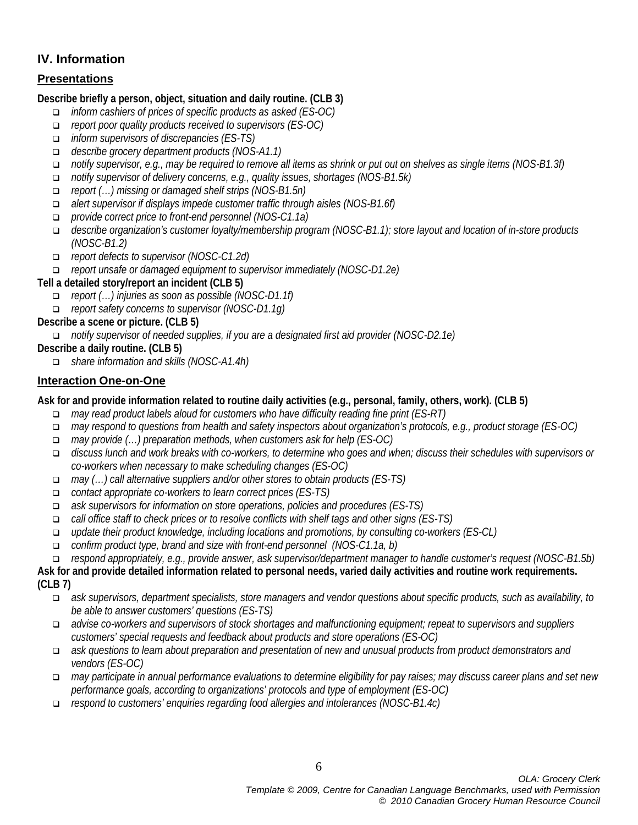## **IV. Information**

## **Presentations**

#### **Describe briefly a person, object, situation and daily routine. (CLB 3)**

- *inform cashiers of prices of specific products as asked (ES-OC)*
- *report poor quality products received to supervisors (ES-OC)*
- *inform supervisors of discrepancies (ES-TS)*
- *describe grocery department products (NOS-A1.1)*
- *notify supervisor, e.g., may be required to remove all items as shrink or put out on shelves as single items (NOS-B1.3f)*
- *notify supervisor of delivery concerns, e.g., quality issues, shortages (NOS-B1.5k)*
- *report (…) missing or damaged shelf strips (NOS-B1.5n)*
- *alert supervisor if displays impede customer traffic through aisles (NOS-B1.6f)*
- *provide correct price to front-end personnel (NOS-C1.1a)*
- *describe organization's customer loyalty/membership program (NOSC-B1.1); store layout and location of in-store products (NOSC-B1.2)*
- *report defects to supervisor (NOSC-C1.2d)*
- *report unsafe or damaged equipment to supervisor immediately (NOSC-D1.2e)*

## **Tell a detailed story/report an incident (CLB 5)**

- *report (…) injuries as soon as possible (NOSC-D1.1f)*
- *report safety concerns to supervisor (NOSC-D1.1g)*

## **Describe a scene or picture. (CLB 5)**

*notify supervisor of needed supplies, if you are a designated first aid provider (NOSC-D2.1e)*

## **Describe a daily routine. (CLB 5)**

*share information and skills (NOSC-A1.4h)*

## **Interaction One-on-One**

## **Ask for and provide information related to routine daily activities (e.g., personal, family, others, work). (CLB 5)**

- *may read product labels aloud for customers who have difficulty reading fine print (ES-RT)*
- *may respond to questions from health and safety inspectors about organization's protocols, e.g., product storage (ES-OC)*
- *may provide (…) preparation methods, when customers ask for help (ES-OC)*
- *discuss lunch and work breaks with co-workers, to determine who goes and when; discuss their schedules with supervisors or co-workers when necessary to make scheduling changes (ES-OC)*
- *may (…) call alternative suppliers and/or other stores to obtain products (ES-TS)*
- *contact appropriate co-workers to learn correct prices (ES-TS)*
- *ask supervisors for information on store operations, policies and procedures (ES-TS)*
- *call office staff to check prices or to resolve conflicts with shelf tags and other signs (ES-TS)*
- *update their product knowledge, including locations and promotions, by consulting co-workers (ES-CL)*
- *confirm product type, brand and size with front-end personnel (NOS-C1.1a, b)*
- *respond appropriately, e.g., provide answer, ask supervisor/department manager to handle customer's request (NOSC-B1.5b)*

**Ask for and provide detailed information related to personal needs, varied daily activities and routine work requirements. (CLB 7)**

- *ask supervisors, department specialists, store managers and vendor questions about specific products, such as availability, to be able to answer customers' questions (ES-TS)*
- *advise co-workers and supervisors of stock shortages and malfunctioning equipment; repeat to supervisors and suppliers customers' special requests and feedback about products and store operations (ES-OC)*
- *ask questions to learn about preparation and presentation of new and unusual products from product demonstrators and vendors (ES-OC)*
- *may participate in annual performance evaluations to determine eligibility for pay raises; may discuss career plans and set new performance goals, according to organizations' protocols and type of employment (ES-OC)*
- *respond to customers' enquiries regarding food allergies and intolerances (NOSC-B1.4c)*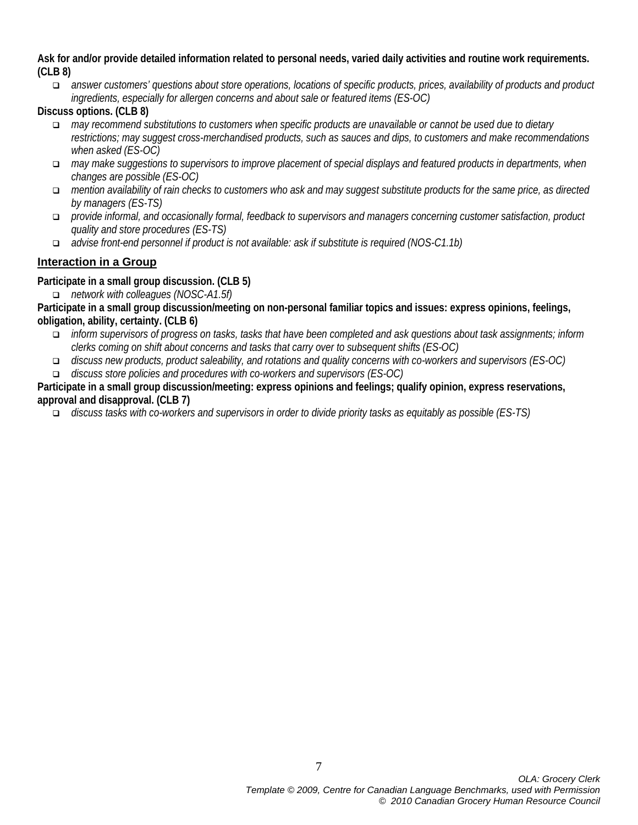**Ask for and/or provide detailed information related to personal needs, varied daily activities and routine work requirements. (CLB 8)**

 *answer customers' questions about store operations, locations of specific products, prices, availability of products and product ingredients, especially for allergen concerns and about sale or featured items (ES-OC)*

**Discuss options. (CLB 8)**

- *may recommend substitutions to customers when specific products are unavailable or cannot be used due to dietary restrictions; may suggest cross-merchandised products, such as sauces and dips, to customers and make recommendations when asked (ES-OC)*
- *may make suggestions to supervisors to improve placement of special displays and featured products in departments, when changes are possible (ES-OC)*
- *mention availability of rain checks to customers who ask and may suggest substitute products for the same price, as directed by managers (ES-TS)*
- *provide informal, and occasionally formal, feedback to supervisors and managers concerning customer satisfaction, product quality and store procedures (ES-TS)*
- *advise front-end personnel if product is not available: ask if substitute is required (NOS-C1.1b)*

## **Interaction in a Group**

**Participate in a small group discussion. (CLB 5)**

*network with colleagues (NOSC-A1.5f)*

**Participate in a small group discussion/meeting on non-personal familiar topics and issues: express opinions, feelings, obligation, ability, certainty. (CLB 6)**

- *inform supervisors of progress on tasks, tasks that have been completed and ask questions about task assignments; inform clerks coming on shift about concerns and tasks that carry over to subsequent shifts (ES-OC)*
- *discuss new products, product saleability, and rotations and quality concerns with co-workers and supervisors (ES-OC)*
- *discuss store policies and procedures with co-workers and supervisors (ES-OC)*

**Participate in a small group discussion/meeting: express opinions and feelings; qualify opinion, express reservations, approval and disapproval. (CLB 7)**

*discuss tasks with co-workers and supervisors in order to divide priority tasks as equitably as possible (ES-TS)*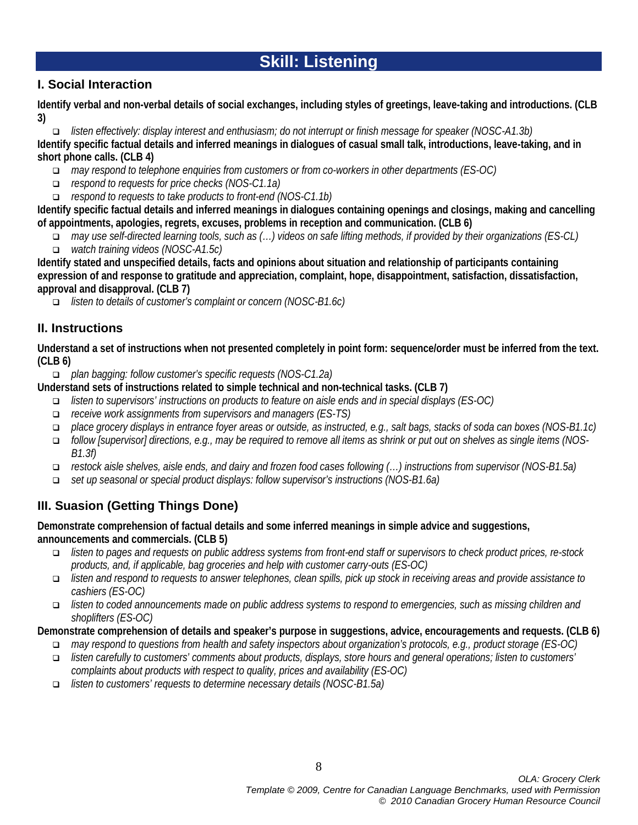# **Skill: Listening**

## **I. Social Interaction**

**Identify verbal and non-verbal details of social exchanges, including styles of greetings, leave-taking and introductions. (CLB 3)**

 *listen effectively: display interest and enthusiasm; do not interrupt or finish message for speaker (NOSC-A1.3b)* **Identify specific factual details and inferred meanings in dialogues of casual small talk, introductions, leave-taking, and in short phone calls. (CLB 4)**

- *may respond to telephone enquiries from customers or from co-workers in other departments (ES-OC)*
- *respond to requests for price checks (NOS-C1.1a)*
- *respond to requests to take products to front-end (NOS-C1.1b)*

**Identify specific factual details and inferred meanings in dialogues containing openings and closings, making and cancelling of appointments, apologies, regrets, excuses, problems in reception and communication. (CLB 6)**

- *may use self-directed learning tools, such as (…) videos on safe lifting methods, if provided by their organizations (ES-CL)*
- *watch training videos (NOSC-A1.5c)*

**Identify stated and unspecified details, facts and opinions about situation and relationship of participants containing expression of and response to gratitude and appreciation, complaint, hope, disappointment, satisfaction, dissatisfaction, approval and disapproval. (CLB 7)**

*listen to details of customer's complaint or concern (NOSC-B1.6c)*

## **II. Instructions**

**Understand a set of instructions when not presented completely in point form: sequence/order must be inferred from the text. (CLB 6)**

*plan bagging: follow customer's specific requests (NOS-C1.2a)*

**Understand sets of instructions related to simple technical and non-technical tasks. (CLB 7)**

- *listen to supervisors' instructions on products to feature on aisle ends and in special displays (ES-OC)*
- *receive work assignments from supervisors and managers (ES-TS)*
- *place grocery displays in entrance foyer areas or outside, as instructed, e.g., salt bags, stacks of soda can boxes (NOS-B1.1c)*
- *follow [supervisor] directions, e.g., may be required to remove all items as shrink or put out on shelves as single items (NOS-B1.3f)*
- *restock aisle shelves, aisle ends, and dairy and frozen food cases following (…) instructions from supervisor (NOS-B1.5a)*
- *set up seasonal or special product displays: follow supervisor's instructions (NOS-B1.6a)*

## **III. Suasion (Getting Things Done)**

## **Demonstrate comprehension of factual details and some inferred meanings in simple advice and suggestions, announcements and commercials. (CLB 5)**

- *listen to pages and requests on public address systems from front-end staff or supervisors to check product prices, re-stock products, and, if applicable, bag groceries and help with customer carry-outs (ES-OC)*
- *listen and respond to requests to answer telephones, clean spills, pick up stock in receiving areas and provide assistance to cashiers (ES-OC)*
- *listen to coded announcements made on public address systems to respond to emergencies, such as missing children and shoplifters (ES-OC)*

## **Demonstrate comprehension of details and speaker's purpose in suggestions, advice, encouragements and requests. (CLB 6)**

- *may respond to questions from health and safety inspectors about organization's protocols, e.g., product storage (ES-OC)*
- *listen carefully to customers' comments about products, displays, store hours and general operations; listen to customers' complaints about products with respect to quality, prices and availability (ES-OC)*
- *listen to customers' requests to determine necessary details (NOSC-B1.5a)*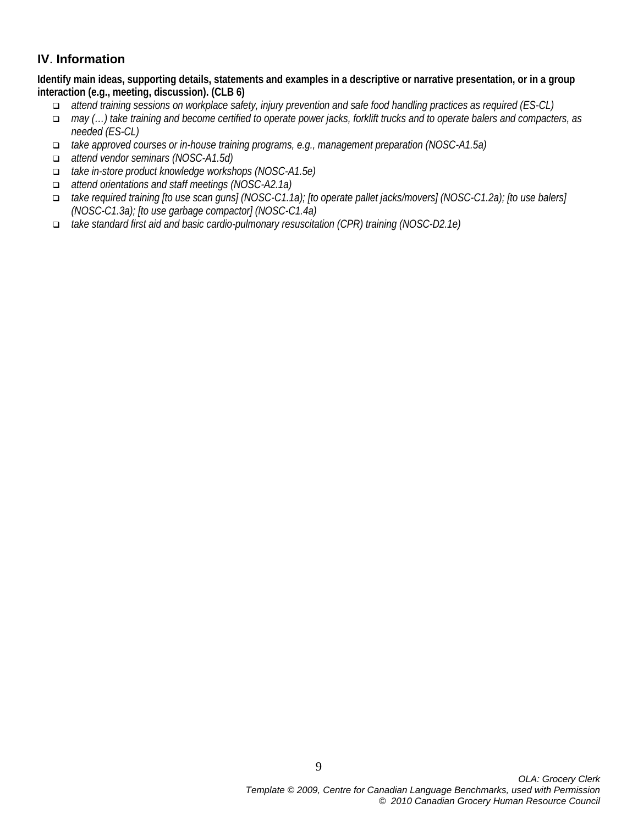## **IV**. **Information**

**Identify main ideas, supporting details, statements and examples in a descriptive or narrative presentation, or in a group interaction (e.g., meeting, discussion). (CLB 6)**

- *attend training sessions on workplace safety, injury prevention and safe food handling practices as required (ES-CL)*
- *may (…) take training and become certified to operate power jacks, forklift trucks and to operate balers and compacters, as needed (ES-CL)*
- *take approved courses or in-house training programs, e.g., management preparation (NOSC-A1.5a)*
- *attend vendor seminars (NOSC-A1.5d)*
- *take in-store product knowledge workshops (NOSC-A1.5e)*
- *attend orientations and staff meetings (NOSC-A2.1a)*
- *take required training [to use scan guns] (NOSC-C1.1a); [to operate pallet jacks/movers] (NOSC-C1.2a); [to use balers] (NOSC-C1.3a); [to use garbage compactor] (NOSC-C1.4a)*
- *take standard first aid and basic cardio-pulmonary resuscitation (CPR) training (NOSC-D2.1e)*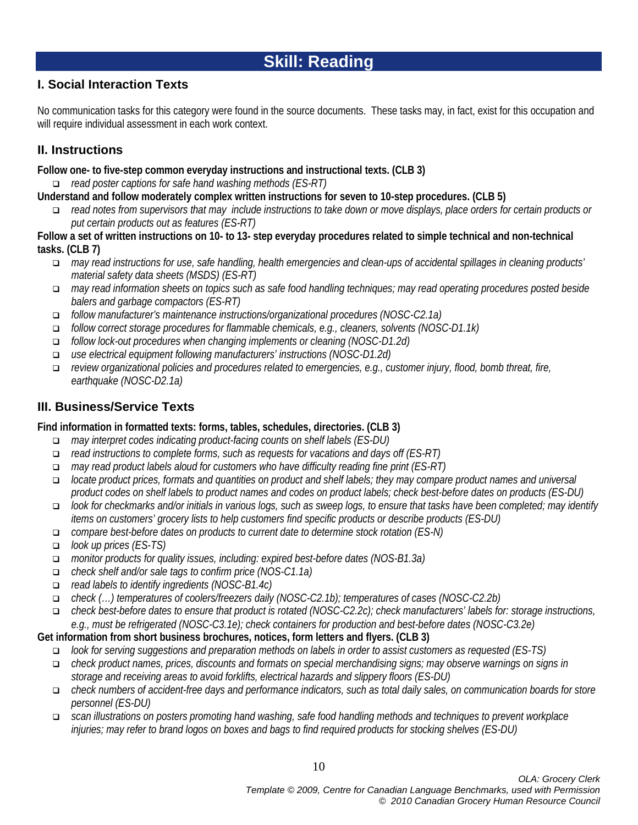# **Skill: Reading**

## **I. Social Interaction Texts**

No communication tasks for this category were found in the source documents. These tasks may, in fact, exist for this occupation and will require individual assessment in each work context.

## **II. Instructions**

**Follow one- to five-step common everyday instructions and instructional texts. (CLB 3)**

*read poster captions for safe hand washing methods (ES-RT)*

- **Understand and follow moderately complex written instructions for seven to 10-step procedures. (CLB 5)**
	- *read notes from supervisors that may include instructions to take down or move displays, place orders for certain products or put certain products out as features (ES-RT)*
- **Follow a set of written instructions on 10- to 13- step everyday procedures related to simple technical and non-technical tasks. (CLB 7)**
	- *may read instructions for use, safe handling, health emergencies and clean-ups of accidental spillages in cleaning products' material safety data sheets (MSDS) (ES-RT)*
	- *may read information sheets on topics such as safe food handling techniques; may read operating procedures posted beside balers and garbage compactors (ES-RT)*
	- *follow manufacturer's maintenance instructions/organizational procedures (NOSC-C2.1a)*
	- *follow correct storage procedures for flammable chemicals, e.g., cleaners, solvents (NOSC-D1.1k)*
	- *follow lock-out procedures when changing implements or cleaning (NOSC-D1.2d)*
	- *use electrical equipment following manufacturers' instructions (NOSC-D1.2d)*
	- *review organizational policies and procedures related to emergencies, e.g., customer injury, flood, bomb threat, fire, earthquake (NOSC-D2.1a)*

## **III. Business/Service Texts**

## **Find information in formatted texts: forms, tables, schedules, directories. (CLB 3)**

- *may interpret codes indicating product-facing counts on shelf labels (ES-DU)*
- *read instructions to complete forms, such as requests for vacations and days off (ES-RT)*
- *may read product labels aloud for customers who have difficulty reading fine print (ES-RT)*
- *locate product prices, formats and quantities on product and shelf labels; they may compare product names and universal product codes on shelf labels to product names and codes on product labels; check best-before dates on products (ES-DU)*
- *look for checkmarks and/or initials in various logs, such as sweep logs, to ensure that tasks have been completed; may identify items on customers' grocery lists to help customers find specific products or describe products (ES-DU)*
- *compare best-before dates on products to current date to determine stock rotation (ES-N)*
- *look up prices (ES-TS)*
- *monitor products for quality issues, including: expired best-before dates (NOS-B1.3a)*
- *check shelf and/or sale tags to confirm price (NOS-C1.1a)*
- *read labels to identify ingredients (NOSC-B1.4c)*
- *check (…) temperatures of coolers/freezers daily (NOSC-C2.1b); temperatures of cases (NOSC-C2.2b)*
- *check best-before dates to ensure that product is rotated (NOSC-C2.2c); check manufacturers' labels for: storage instructions, e.g., must be refrigerated (NOSC-C3.1e); check containers for production and best-before dates (NOSC-C3.2e)*
- **Get information from short business brochures, notices, form letters and flyers. (CLB 3)**
	- *look for serving suggestions and preparation methods on labels in order to assist customers as requested (ES-TS)*
	- *check product names, prices, discounts and formats on special merchandising signs; may observe warnings on signs in storage and receiving areas to avoid forklifts, electrical hazards and slippery floors (ES-DU)*
	- *check numbers of accident-free days and performance indicators, such as total daily sales, on communication boards for store personnel (ES-DU)*
	- *scan illustrations on posters promoting hand washing, safe food handling methods and techniques to prevent workplace injuries; may refer to brand logos on boxes and bags to find required products for stocking shelves (ES-DU)*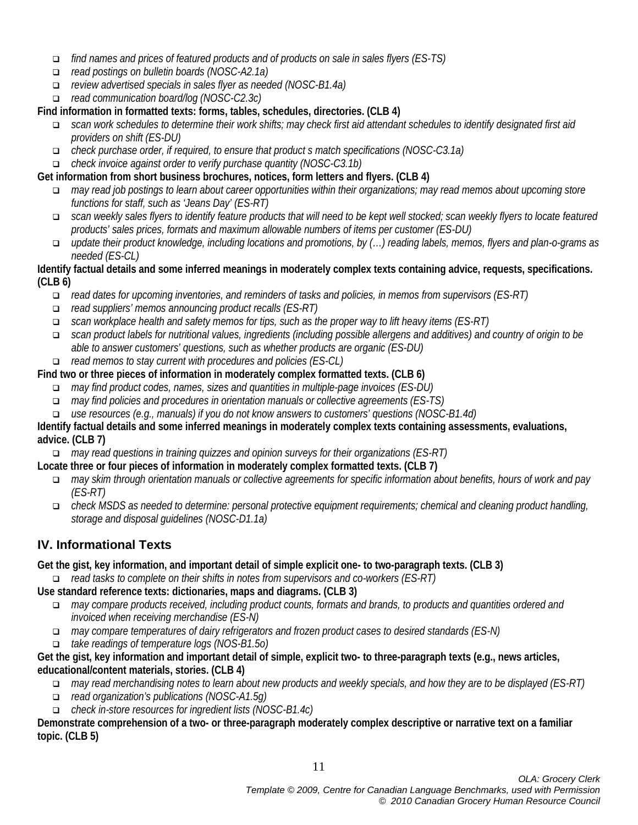- *find names and prices of featured products and of products on sale in sales flyers (ES-TS)*
- *read postings on bulletin boards (NOSC-A2.1a)*
- *review advertised specials in sales flyer as needed (NOSC-B1.4a)*
- *read communication board/log (NOSC-C2.3c)*

## **Find information in formatted texts: forms, tables, schedules, directories. (CLB 4)**

- *scan work schedules to determine their work shifts; may check first aid attendant schedules to identify designated first aid providers on shift (ES-DU)*
- *check purchase order, if required, to ensure that product s match specifications (NOSC-C3.1a)*
- *check invoice against order to verify purchase quantity (NOSC-C3.1b)*

## **Get information from short business brochures, notices, form letters and flyers. (CLB 4)**

- *may read job postings to learn about career opportunities within their organizations; may read memos about upcoming store functions for staff, such as 'Jeans Day' (ES-RT)*
- *scan weekly sales flyers to identify feature products that will need to be kept well stocked; scan weekly flyers to locate featured products' sales prices, formats and maximum allowable numbers of items per customer (ES-DU)*
- *update their product knowledge, including locations and promotions, by (…) reading labels, memos, flyers and plan-o-grams as needed (ES-CL)*

#### **Identify factual details and some inferred meanings in moderately complex texts containing advice, requests, specifications. (CLB 6)**

- *read dates for upcoming inventories, and reminders of tasks and policies, in memos from supervisors (ES-RT)*
- *read suppliers' memos announcing product recalls (ES-RT)*
- *scan workplace health and safety memos for tips, such as the proper way to lift heavy items (ES-RT)*
- *scan product labels for nutritional values, ingredients (including possible allergens and additives) and country of origin to be able to answer customers' questions, such as whether products are organic (ES-DU)*
- *read memos to stay current with procedures and policies (ES-CL)*

## **Find two or three pieces of information in moderately complex formatted texts. (CLB 6)**

- *may find product codes, names, sizes and quantities in multiple-page invoices (ES-DU)*
- *may find policies and procedures in orientation manuals or collective agreements (ES-TS)*
- *use resources (e.g., manuals) if you do not know answers to customers' questions (NOSC-B1.4d)*

#### **Identify factual details and some inferred meanings in moderately complex texts containing assessments, evaluations, advice. (CLB 7)**

*may read questions in training quizzes and opinion surveys for their organizations (ES-RT)*

## **Locate three or four pieces of information in moderately complex formatted texts. (CLB 7)**

- *may skim through orientation manuals or collective agreements for specific information about benefits, hours of work and pay (ES-RT)*
- *check MSDS as needed to determine: personal protective equipment requirements; chemical and cleaning product handling, storage and disposal guidelines (NOSC-D1.1a)*

## **IV. Informational Texts**

## **Get the gist, key information, and important detail of simple explicit one- to two-paragraph texts. (CLB 3)**

*read tasks to complete on their shifts in notes from supervisors and co-workers (ES-RT)*

## **Use standard reference texts: dictionaries, maps and diagrams. (CLB 3)**

- *may compare products received, including product counts, formats and brands, to products and quantities ordered and invoiced when receiving merchandise (ES-N)*
- *may compare temperatures of dairy refrigerators and frozen product cases to desired standards (ES-N)*
- *take readings of temperature logs (NOS-B1.5o)*

## **Get the gist, key information and important detail of simple, explicit two- to three-paragraph texts (e.g., news articles, educational/content materials, stories. (CLB 4)**

- *may read merchandising notes to learn about new products and weekly specials, and how they are to be displayed (ES-RT)*
- *read organization's publications (NOSC-A1.5g)*
- *check in-store resources for ingredient lists (NOSC-B1.4c)*

**Demonstrate comprehension of a two- or three-paragraph moderately complex descriptive or narrative text on a familiar topic. (CLB 5)**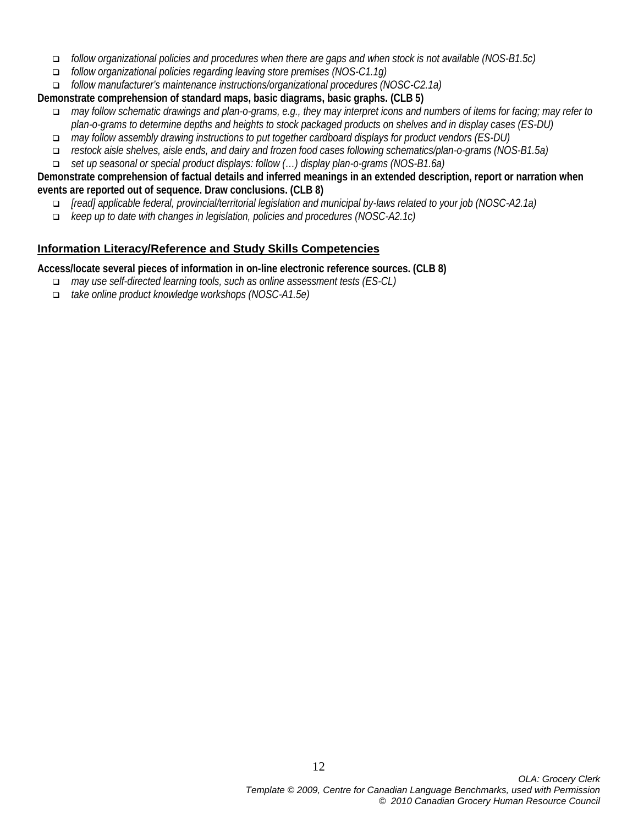- *follow organizational policies and procedures when there are gaps and when stock is not available (NOS-B1.5c)*
- *follow organizational policies regarding leaving store premises (NOS-C1.1g)*

*follow manufacturer's maintenance instructions/organizational procedures (NOSC-C2.1a)*

**Demonstrate comprehension of standard maps, basic diagrams, basic graphs. (CLB 5)**

- *may follow schematic drawings and plan-o-grams, e.g., they may interpret icons and numbers of items for facing; may refer to plan-o-grams to determine depths and heights to stock packaged products on shelves and in display cases (ES-DU)*
- *may follow assembly drawing instructions to put together cardboard displays for product vendors (ES-DU)*
- *restock aisle shelves, aisle ends, and dairy and frozen food cases following schematics/plan-o-grams (NOS-B1.5a)*
- *set up seasonal or special product displays: follow (…) display plan-o-grams (NOS-B1.6a)*

#### **Demonstrate comprehension of factual details and inferred meanings in an extended description, report or narration when events are reported out of sequence. Draw conclusions. (CLB 8)**

- *[read] applicable federal, provincial/territorial legislation and municipal by-laws related to your job (NOSC-A2.1a)*
- *keep up to date with changes in legislation, policies and procedures (NOSC-A2.1c)*

## **Information Literacy/Reference and Study Skills Competencies**

**Access/locate several pieces of information in on-line electronic reference sources. (CLB 8)**

- *may use self-directed learning tools, such as online assessment tests (ES-CL)*
- *take online product knowledge workshops (NOSC-A1.5e)*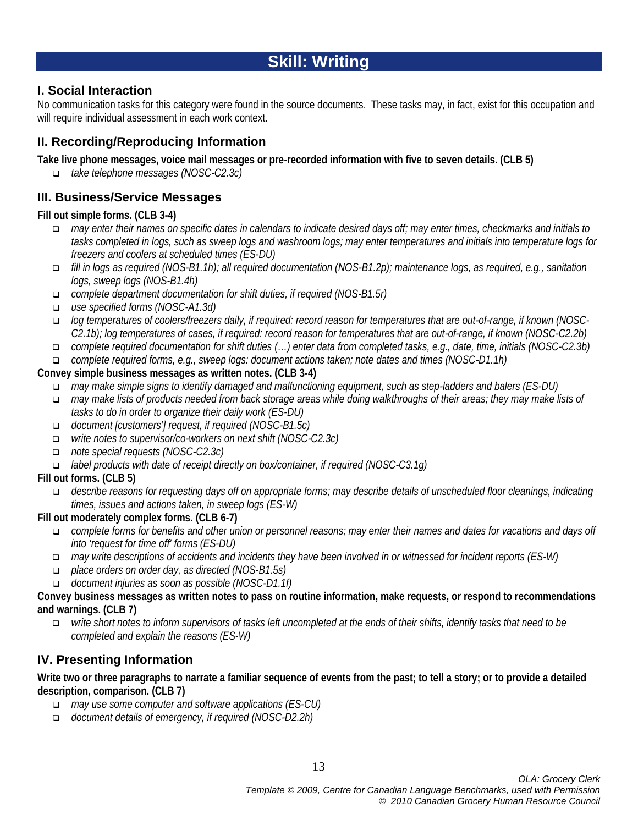# **Skill: Writing**

## **I. Social Interaction**

No communication tasks for this category were found in the source documents. These tasks may, in fact, exist for this occupation and will require individual assessment in each work context.

## **II. Recording/Reproducing Information**

**Take live phone messages, voice mail messages or pre-recorded information with five to seven details. (CLB 5)**

*take telephone messages (NOSC-C2.3c)*

## **III. Business/Service Messages**

## **Fill out simple forms. (CLB 3-4)**

- *may enter their names on specific dates in calendars to indicate desired days off; may enter times, checkmarks and initials to tasks completed in logs, such as sweep logs and washroom logs; may enter temperatures and initials into temperature logs for freezers and coolers at scheduled times (ES-DU)*
- *fill in logs as required (NOS-B1.1h); all required documentation (NOS-B1.2p); maintenance logs, as required, e.g., sanitation logs, sweep logs (NOS-B1.4h)*
- *complete department documentation for shift duties, if required (NOS-B1.5r)*
- *use specified forms (NOSC-A1.3d)*
- *log temperatures of coolers/freezers daily, if required: record reason for temperatures that are out-of-range, if known (NOSC-C2.1b); log temperatures of cases, if required: record reason for temperatures that are out-of-range, if known (NOSC-C2.2b)*
- *complete required documentation for shift duties (…) enter data from completed tasks, e.g., date, time, initials (NOSC-C2.3b)*
- *complete required forms, e.g., sweep logs: document actions taken; note dates and times (NOSC-D1.1h)*

## **Convey simple business messages as written notes. (CLB 3-4)**

- *may make simple signs to identify damaged and malfunctioning equipment, such as step-ladders and balers (ES-DU)*
- *may make lists of products needed from back storage areas while doing walkthroughs of their areas; they may make lists of tasks to do in order to organize their daily work (ES-DU)*
- *document [customers'] request, if required (NOSC-B1.5c)*
- *write notes to supervisor/co-workers on next shift (NOSC-C2.3c)*
- *note special requests (NOSC-C2.3c)*
- *label products with date of receipt directly on box/container, if required (NOSC-C3.1g)*

## **Fill out forms. (CLB 5)**

 *describe reasons for requesting days off on appropriate forms; may describe details of unscheduled floor cleanings, indicating times, issues and actions taken, in sweep logs (ES-W)*

## **Fill out moderately complex forms. (CLB 6-7)**

- *complete forms for benefits and other union or personnel reasons; may enter their names and dates for vacations and days off into 'request for time off' forms (ES-DU)*
- *may write descriptions of accidents and incidents they have been involved in or witnessed for incident reports (ES-W)*
- *place orders on order day, as directed (NOS-B1.5s)*
- *document injuries as soon as possible (NOSC-D1.1f)*

# **Convey business messages as written notes to pass on routine information, make requests, or respond to recommendations and warnings. (CLB 7)**

 *write short notes to inform supervisors of tasks left uncompleted at the ends of their shifts, identify tasks that need to be completed and explain the reasons (ES-W)*

## **IV. Presenting Information**

## **Write two or three paragraphs to narrate a familiar sequence of events from the past; to tell a story; or to provide a detailed description, comparison. (CLB 7)**

- *may use some computer and software applications (ES-CU)*
- *document details of emergency, if required (NOSC-D2.2h)*